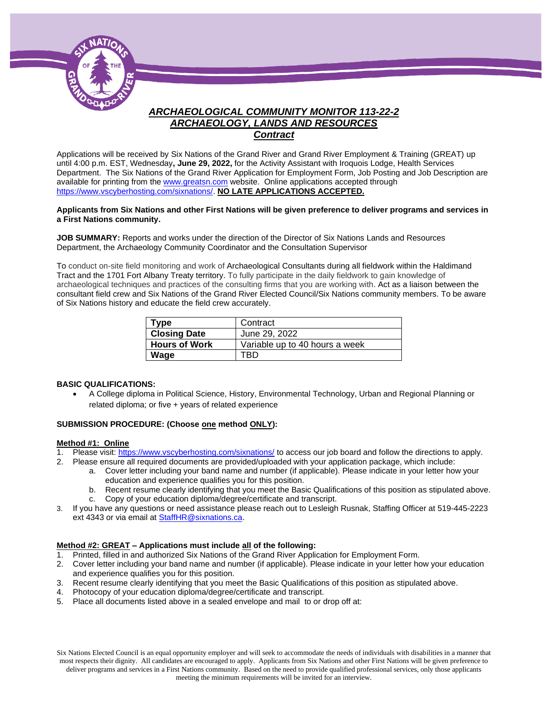

## *ARCHAEOLOGICAL COMMUNITY MONITOR 113-22-2 ARCHAEOLOGY, LANDS AND RESOURCES Contract*

Applications will be received by Six Nations of the Grand River and Grand River Employment & Training (GREAT) up until 4:00 p.m. EST, Wednesday**, June 29, 2022,** for the Activity Assistant with Iroquois Lodge, Health Services Department. The Six Nations of the Grand River Application for Employment Form, Job Posting and Job Description are available for printing from th[e www.greatsn.com](http://www.greatsn.com/) website. Online applications accepted through [https://www.vscyberhosting.com/sixnations/.](https://www.vscyberhosting.com/sixnations/) **NO LATE APPLICATIONS ACCEPTED.**

#### **Applicants from Six Nations and other First Nations will be given preference to deliver programs and services in a First Nations community.**

**JOB SUMMARY:** Reports and works under the direction of the Director of Six Nations Lands and Resources Department, the Archaeology Community Coordinator and the Consultation Supervisor

To conduct on-site field monitoring and work of Archaeological Consultants during all fieldwork within the Haldimand Tract and the 1701 Fort Albany Treaty territory. To fully participate in the daily fieldwork to gain knowledge of archaeological techniques and practices of the consulting firms that you are working with. Act as a liaison between the consultant field crew and Six Nations of the Grand River Elected Council/Six Nations community members. To be aware of Six Nations history and educate the field crew accurately.

| Type                 | Contract                       |
|----------------------|--------------------------------|
| <b>Closing Date</b>  | June 29, 2022                  |
| <b>Hours of Work</b> | Variable up to 40 hours a week |
| Wage                 | TRD                            |

#### **BASIC QUALIFICATIONS:**

• A College diploma in Political Science, History, Environmental Technology, Urban and Regional Planning or related diploma; or five + years of related experience

#### **SUBMISSION PROCEDURE: (Choose one method ONLY):**

#### **Method #1: Online**

- 1. Please visit[: https://www.vscyberhosting.com/sixnations/](https://www.vscyberhosting.com/sixnations/) to access our job board and follow the directions to apply.
- 2. Please ensure all required documents are provided/uploaded with your application package, which include:
	- a. Cover letter including your band name and number (if applicable). Please indicate in your letter how your education and experience qualifies you for this position.
	- b. Recent resume clearly identifying that you meet the Basic Qualifications of this position as stipulated above.
	- c. Copy of your education diploma/degree/certificate and transcript.
- 3. If you have any questions or need assistance please reach out to Lesleigh Rusnak, Staffing Officer at 519-445-2223 ext 4343 or via email a[t StaffHR@sixnations.ca.](mailto:StaffHR@sixnations.ca)

#### **Method #2: GREAT – Applications must include all of the following:**

- 1. Printed, filled in and authorized Six Nations of the Grand River Application for Employment Form.
- 2. Cover letter including your band name and number (if applicable). Please indicate in your letter how your education and experience qualifies you for this position.
- 3. Recent resume clearly identifying that you meet the Basic Qualifications of this position as stipulated above.
- 4. Photocopy of your education diploma/degree/certificate and transcript.
- 5. Place all documents listed above in a sealed envelope and mail to or drop off at:

Six Nations Elected Council is an equal opportunity employer and will seek to accommodate the needs of individuals with disabilities in a manner that most respects their dignity. All candidates are encouraged to apply. Applicants from Six Nations and other First Nations will be given preference to deliver programs and services in a First Nations community. Based on the need to provide qualified professional services, only those applicants meeting the minimum requirements will be invited for an interview.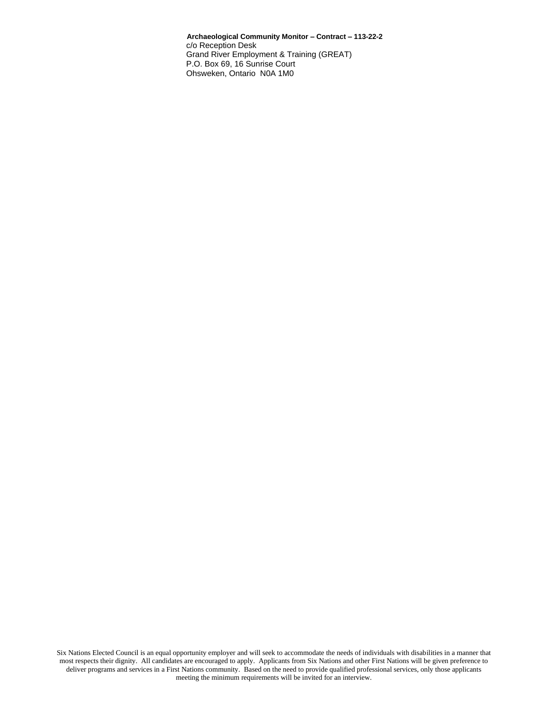**Archaeological Community Monitor – Contract – 113-22-2** c/o Reception Desk Grand River Employment & Training (GREAT) P.O. Box 69, 16 Sunrise Court Ohsweken, Ontario N0A 1M0

Six Nations Elected Council is an equal opportunity employer and will seek to accommodate the needs of individuals with disabilities in a manner that most respects their dignity. All candidates are encouraged to apply. Applicants from Six Nations and other First Nations will be given preference to deliver programs and services in a First Nations community. Based on the need to provide qualified professional services, only those applicants meeting the minimum requirements will be invited for an interview.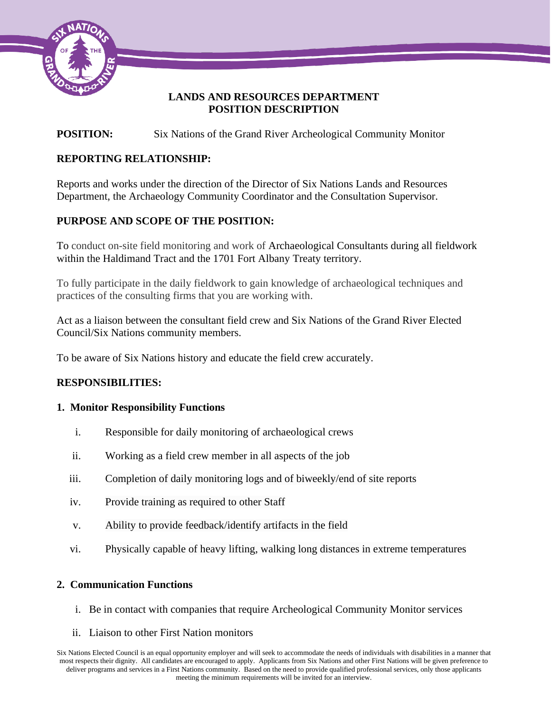

## **LANDS AND RESOURCES DEPARTMENT POSITION DESCRIPTION**

# **POSITION:** Six Nations of the Grand River Archeological Community Monitor

# **REPORTING RELATIONSHIP:**

Reports and works under the direction of the Director of Six Nations Lands and Resources Department, the Archaeology Community Coordinator and the Consultation Supervisor.

## **PURPOSE AND SCOPE OF THE POSITION:**

To conduct on-site field monitoring and work of Archaeological Consultants during all fieldwork within the Haldimand Tract and the 1701 Fort Albany Treaty territory.

To fully participate in the daily fieldwork to gain knowledge of archaeological techniques and practices of the consulting firms that you are working with.

Act as a liaison between the consultant field crew and Six Nations of the Grand River Elected Council/Six Nations community members.

To be aware of Six Nations history and educate the field crew accurately.

## **RESPONSIBILITIES:**

## **1. Monitor Responsibility Functions**

- i. Responsible for daily monitoring of archaeological crews
- ii. Working as a field crew member in all aspects of the job
- iii. Completion of daily monitoring logs and of biweekly/end of site reports
- iv. Provide training as required to other Staff
- v. Ability to provide feedback/identify artifacts in the field
- vi. Physically capable of heavy lifting, walking long distances in extreme temperatures

## **2. Communication Functions**

- i. Be in contact with companies that require Archeological Community Monitor services
- ii. Liaison to other First Nation monitors

Six Nations Elected Council is an equal opportunity employer and will seek to accommodate the needs of individuals with disabilities in a manner that most respects their dignity. All candidates are encouraged to apply. Applicants from Six Nations and other First Nations will be given preference to deliver programs and services in a First Nations community. Based on the need to provide qualified professional services, only those applicants meeting the minimum requirements will be invited for an interview.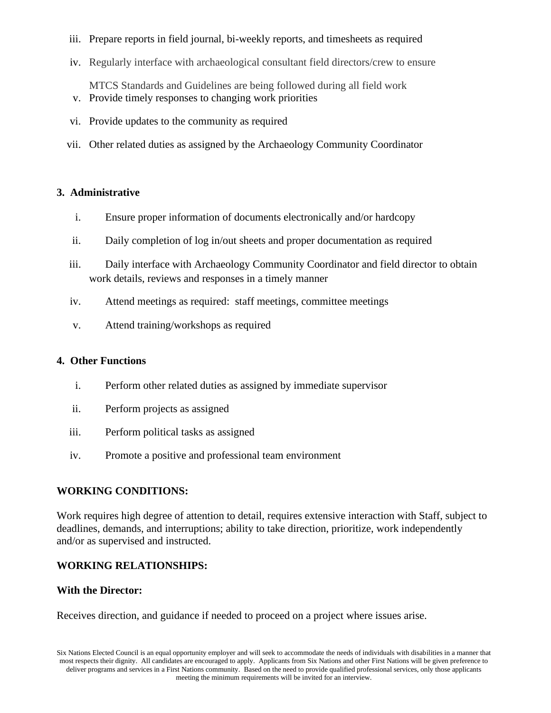- iii. Prepare reports in field journal, bi-weekly reports, and timesheets as required
- iv. Regularly interface with archaeological consultant field directors/crew to ensure

 MTCS Standards and Guidelines are being followed during all field work v. Provide timely responses to changing work priorities

- vi. Provide updates to the community as required
- vii. Other related duties as assigned by the Archaeology Community Coordinator

### **3. Administrative**

- i. Ensure proper information of documents electronically and/or hardcopy
- ii. Daily completion of log in/out sheets and proper documentation as required
- iii. Daily interface with Archaeology Community Coordinator and field director to obtain work details, reviews and responses in a timely manner
- iv. Attend meetings as required: staff meetings, committee meetings
- v. Attend training/workshops as required

### **4. Other Functions**

- i. Perform other related duties as assigned by immediate supervisor
- ii. Perform projects as assigned
- iii. Perform political tasks as assigned
- iv. Promote a positive and professional team environment

## **WORKING CONDITIONS:**

Work requires high degree of attention to detail, requires extensive interaction with Staff, subject to deadlines, demands, and interruptions; ability to take direction, prioritize, work independently and/or as supervised and instructed.

## **WORKING RELATIONSHIPS:**

### **With the Director:**

Receives direction, and guidance if needed to proceed on a project where issues arise.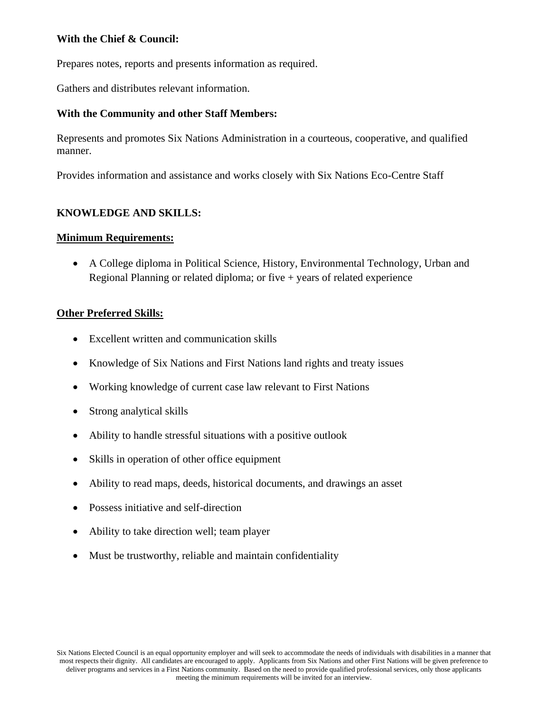## **With the Chief & Council:**

Prepares notes, reports and presents information as required.

Gathers and distributes relevant information.

### **With the Community and other Staff Members:**

Represents and promotes Six Nations Administration in a courteous, cooperative, and qualified manner.

Provides information and assistance and works closely with Six Nations Eco-Centre Staff

### **KNOWLEDGE AND SKILLS:**

#### **Minimum Requirements:**

• A College diploma in Political Science, History, Environmental Technology, Urban and Regional Planning or related diploma; or five  $+$  years of related experience

#### **Other Preferred Skills:**

- Excellent written and communication skills
- Knowledge of Six Nations and First Nations land rights and treaty issues
- Working knowledge of current case law relevant to First Nations
- Strong analytical skills
- Ability to handle stressful situations with a positive outlook
- Skills in operation of other office equipment
- Ability to read maps, deeds, historical documents, and drawings an asset
- Possess initiative and self-direction
- Ability to take direction well; team player
- Must be trustworthy, reliable and maintain confidentiality